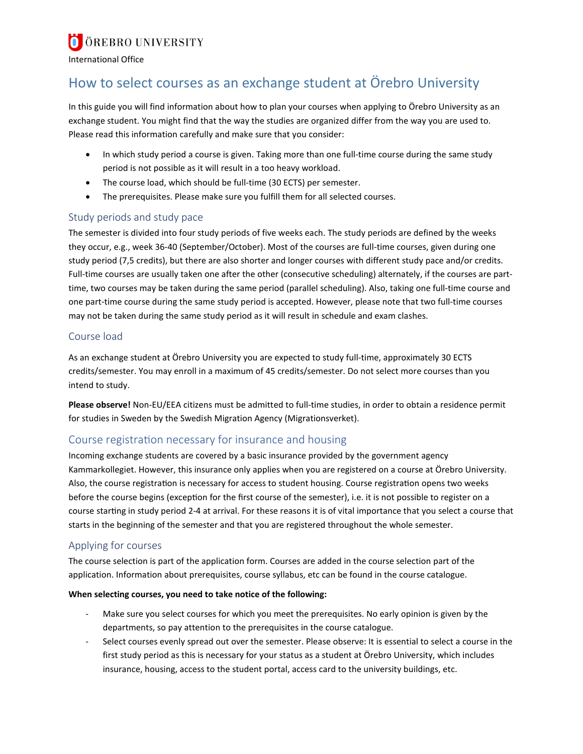# **O** ÖREBRO UNIVERSITY

International Office

## How to select courses as an exchange student at Örebro University

In this guide you will find information about how to plan your courses when applying to Örebro University as an exchange student. You might find that the way the studies are organized differ from the way you are used to. Please read this information carefully and make sure that you consider:

- In which study period a course is given. Taking more than one full-time course during the same study period is not possible as it will result in a too heavy workload.
- The course load, which should be full-time (30 ECTS) per semester.
- The prerequisites. Please make sure you fulfill them for all selected courses.

### Study periods and study pace

The semester is divided into four study periods of five weeks each. The study periods are defined by the weeks they occur, e.g., week 36-40 (September/October). Most of the courses are full-time courses, given during one study period (7,5 credits), but there are also shorter and longer courses with different study pace and/or credits. Full-time courses are usually taken one after the other (consecutive scheduling) alternately, if the courses are parttime, two courses may be taken during the same period (parallel scheduling). Also, taking one full-time course and one part-time course during the same study period is accepted. However, please note that two full-time courses may not be taken during the same study period as it will result in schedule and exam clashes.

#### Course load

As an exchange student at Örebro University you are expected to study full-time, approximately 30 ECTS credits/semester. You may enroll in a maximum of 45 credits/semester. Do not select more courses than you intend to study.

**Please observe!** Non-EU/EEA citizens must be admitted to full-time studies, in order to obtain a residence permit for studies in Sweden by the Swedish Migration Agency (Migrationsverket).

## Course registration necessary for insurance and housing

Incoming exchange students are covered by a basic insurance provided by the government agency Kammarkollegiet. However, this insurance only applies when you are registered on a course at Örebro University. Also, the course registration is necessary for access to student housing. Course registration opens two weeks before the course begins (exception for the first course of the semester), i.e. it is not possible to register on a course starting in study period 2-4 at arrival. For these reasons it is of vital importance that you select a course that starts in the beginning of the semester and that you are registered throughout the whole semester.

#### Applying for courses

The course selection is part of the application form. Courses are added in the course selection part of the application. Information about prerequisites, course syllabus, etc can be found in the course catalogue.

#### **When selecting courses, you need to take notice of the following:**

- Make sure you select courses for which you meet the prerequisites. No early opinion is given by the departments, so pay attention to the prerequisites in the course catalogue.
- Select courses evenly spread out over the semester. Please observe: It is essential to select a course in the first study period as this is necessary for your status as a student at Örebro University, which includes insurance, housing, access to the student portal, access card to the university buildings, etc.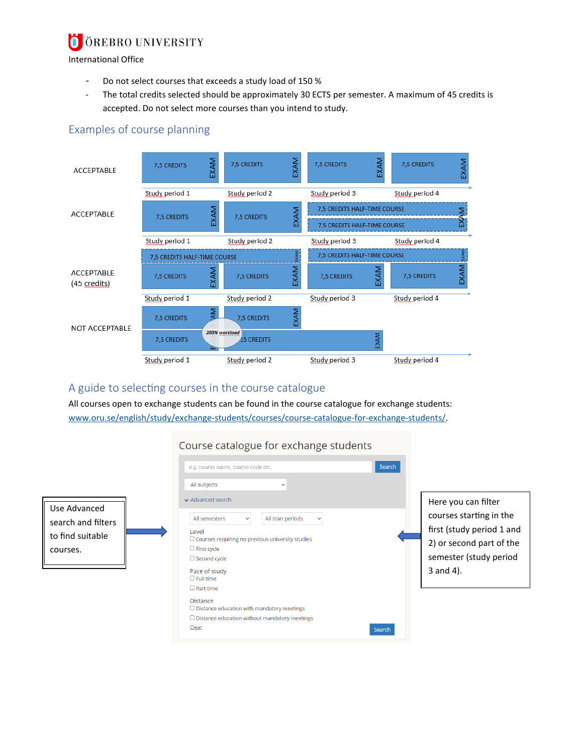#### ÖREBRO UNIVERSITY  $\blacksquare$

International Office

- Do not select courses that exceeds a study load of 150 %
- The total credits selected should be approximately 30 ECTS per semester. A maximum of 45 credits is accepted. Do not select more courses than you intend to study.

## Examples of course planning



## A guide to selecting courses in the course catalogue

All courses open to exchange students can be found in the course catalogue for exchange students: [www.oru.se/english/study/exchange-students/courses/course-catalogue-for-exchange-students/.](http://www.oru.se/english/study/exchange-students/courses/course-catalogue-for-exchange-students/)

## Course catalogue for exchange students